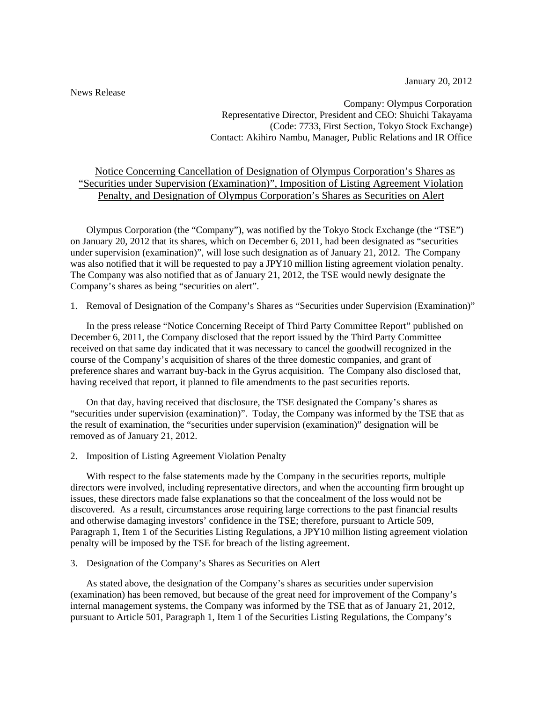January 20, 2012

News Release

Company: Olympus Corporation Representative Director, President and CEO: Shuichi Takayama (Code: 7733, First Section, Tokyo Stock Exchange) Contact: Akihiro Nambu, Manager, Public Relations and IR Office

# Notice Concerning Cancellation of Designation of Olympus Corporation's Shares as "Securities under Supervision (Examination)", Imposition of Listing Agreement Violation Penalty, and Designation of Olympus Corporation's Shares as Securities on Alert

Olympus Corporation (the "Company"), was notified by the Tokyo Stock Exchange (the "TSE") on January 20, 2012 that its shares, which on December 6, 2011, had been designated as "securities under supervision (examination)", will lose such designation as of January 21, 2012. The Company was also notified that it will be requested to pay a JPY10 million listing agreement violation penalty. The Company was also notified that as of January 21, 2012, the TSE would newly designate the Company's shares as being "securities on alert".

1. Removal of Designation of the Company's Shares as "Securities under Supervision (Examination)"

In the press release "Notice Concerning Receipt of Third Party Committee Report" published on December 6, 2011, the Company disclosed that the report issued by the Third Party Committee received on that same day indicated that it was necessary to cancel the goodwill recognized in the course of the Company's acquisition of shares of the three domestic companies, and grant of preference shares and warrant buy-back in the Gyrus acquisition. The Company also disclosed that, having received that report, it planned to file amendments to the past securities reports.

On that day, having received that disclosure, the TSE designated the Company's shares as "securities under supervision (examination)". Today, the Company was informed by the TSE that as the result of examination, the "securities under supervision (examination)" designation will be removed as of January 21, 2012.

2. Imposition of Listing Agreement Violation Penalty

With respect to the false statements made by the Company in the securities reports, multiple directors were involved, including representative directors, and when the accounting firm brought up issues, these directors made false explanations so that the concealment of the loss would not be discovered. As a result, circumstances arose requiring large corrections to the past financial results and otherwise damaging investors' confidence in the TSE; therefore, pursuant to Article 509, Paragraph 1, Item 1 of the Securities Listing Regulations, a JPY10 million listing agreement violation penalty will be imposed by the TSE for breach of the listing agreement.

3. Designation of the Company's Shares as Securities on Alert

As stated above, the designation of the Company's shares as securities under supervision (examination) has been removed, but because of the great need for improvement of the Company's internal management systems, the Company was informed by the TSE that as of January 21, 2012, pursuant to Article 501, Paragraph 1, Item 1 of the Securities Listing Regulations, the Company's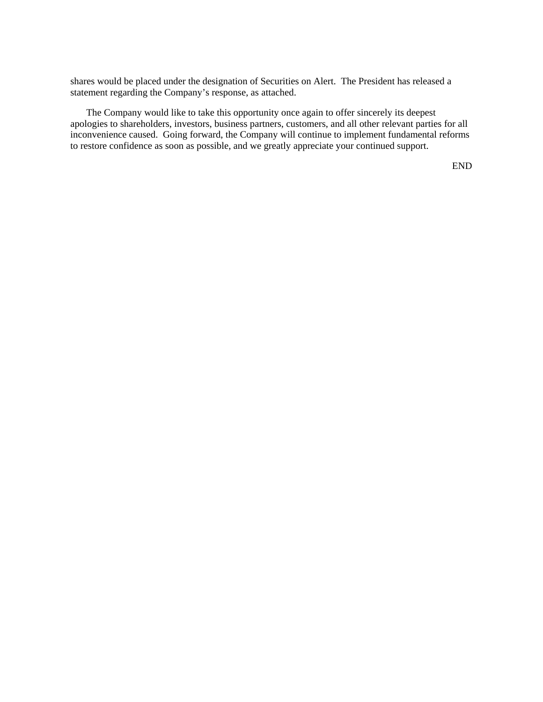shares would be placed under the designation of Securities on Alert. The President has released a statement regarding the Company's response, as attached.

The Company would like to take this opportunity once again to offer sincerely its deepest apologies to shareholders, investors, business partners, customers, and all other relevant parties for all inconvenience caused. Going forward, the Company will continue to implement fundamental reforms to restore confidence as soon as possible, and we greatly appreciate your continued support.

END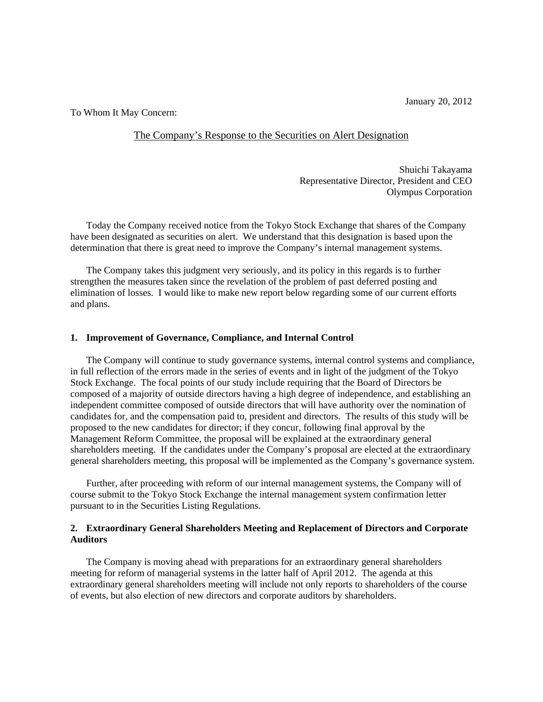January 20, 2012

To Whom It May Concern:

## The Company's Response to the Securities on Alert Designation

Shuichi Takayama Representative Director, President and CEO Olympus Corporation

Today the Company received notice from the Tokyo Stock Exchange that shares of the Company have been designated as securities on alert. We understand that this designation is based upon the determination that there is great need to improve the Company's internal management systems.

 The Company takes this judgment very seriously, and its policy in this regards is to further strengthen the measures taken since the revelation of the problem of past deferred posting and elimination of losses. I would like to make new report below regarding some of our current efforts and plans.

### **1. Improvement of Governance, Compliance, and Internal Control**

The Company will continue to study governance systems, internal control systems and compliance, in full reflection of the errors made in the series of events and in light of the judgment of the Tokyo Stock Exchange. The focal points of our study include requiring that the Board of Directors be composed of a majority of outside directors having a high degree of independence, and establishing an independent committee composed of outside directors that will have authority over the nomination of candidates for, and the compensation paid to, president and directors. The results of this study will be proposed to the new candidates for director; if they concur, following final approval by the Management Reform Committee, the proposal will be explained at the extraordinary general shareholders meeting. If the candidates under the Company's proposal are elected at the extraordinary general shareholders meeting, this proposal will be implemented as the Company's governance system.

Further, after proceeding with reform of our internal management systems, the Company will of course submit to the Tokyo Stock Exchange the internal management system confirmation letter pursuant to in the Securities Listing Regulations.

#### **2. Extraordinary General Shareholders Meeting and Replacement of Directors and Corporate Auditors**

 The Company is moving ahead with preparations for an extraordinary general shareholders meeting for reform of managerial systems in the latter half of April 2012. The agenda at this extraordinary general shareholders meeting will include not only reports to shareholders of the course of events, but also election of new directors and corporate auditors by shareholders.